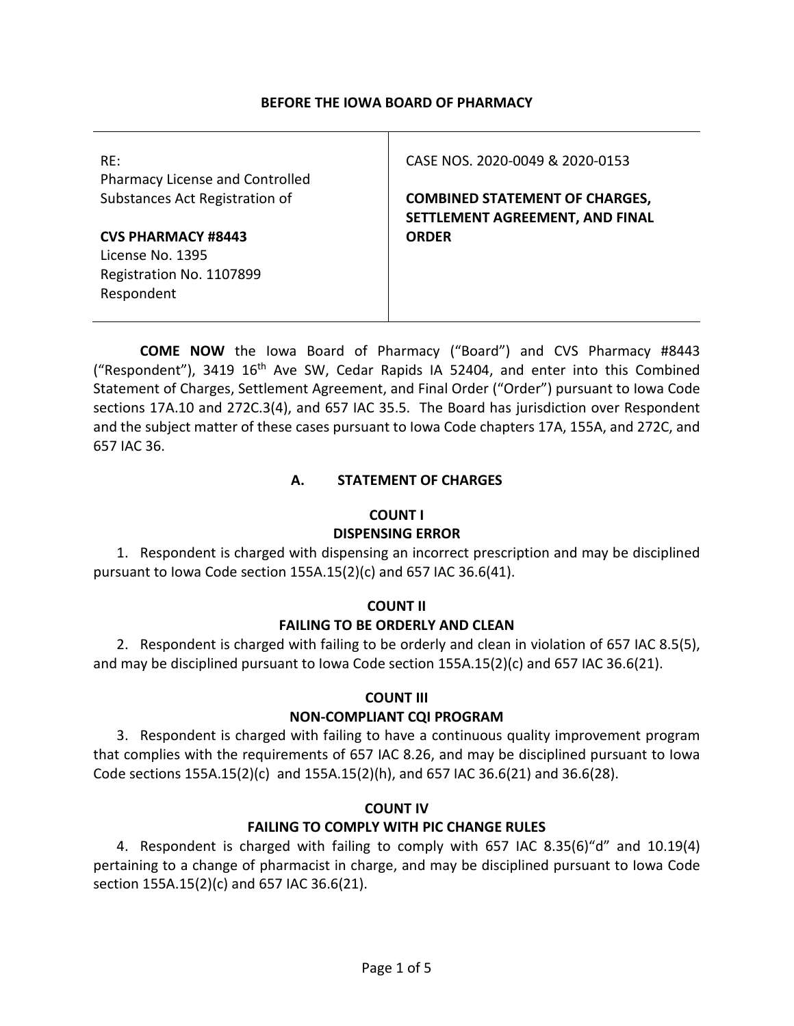## **BEFORE THE IOWA BOARD OF PHARMACY**

| RE:<br>Pharmacy License and Controlled<br>Substances Act Registration of                | CASE NOS. 2020-0049 & 2020-0153<br><b>COMBINED STATEMENT OF CHARGES,</b> |
|-----------------------------------------------------------------------------------------|--------------------------------------------------------------------------|
| <b>CVS PHARMACY #8443</b><br>License No. 1395<br>Registration No. 1107899<br>Respondent | SETTLEMENT AGREEMENT, AND FINAL<br><b>ORDER</b>                          |

**COME NOW** the Iowa Board of Pharmacy ("Board") and CVS Pharmacy #8443 ("Respondent"), 3419  $16<sup>th</sup>$  Ave SW, Cedar Rapids IA 52404, and enter into this Combined Statement of Charges, Settlement Agreement, and Final Order ("Order") pursuant to Iowa Code sections 17A.10 and 272C.3(4), and 657 IAC 35.5. The Board has jurisdiction over Respondent and the subject matter of these cases pursuant to Iowa Code chapters 17A, 155A, and 272C, and 657 IAC 36.

## **A. STATEMENT OF CHARGES**

## **COUNT I**

## **DISPENSING ERROR**

1. Respondent is charged with dispensing an incorrect prescription and may be disciplined pursuant to Iowa Code section 155A.15(2)(c) and 657 IAC 36.6(41).

## **COUNT II**

## **FAILING TO BE ORDERLY AND CLEAN**

2. Respondent is charged with failing to be orderly and clean in violation of 657 IAC 8.5(5), and may be disciplined pursuant to Iowa Code section 155A.15(2)(c) and 657 IAC 36.6(21).

## **COUNT III**

## **NON-COMPLIANT CQI PROGRAM**

3. Respondent is charged with failing to have a continuous quality improvement program that complies with the requirements of 657 IAC 8.26, and may be disciplined pursuant to Iowa Code sections  $155A.15(2)(c)$  and  $155A.15(2)(h)$ , and  $657$  IAC  $36.6(21)$  and  $36.6(28)$ .

## **COUNT IV**

## **FAILING TO COMPLY WITH PIC CHANGE RULES**

4. Respondent is charged with failing to comply with 657 IAC 8.35(6)"d" and 10.19(4) pertaining to a change of pharmacist in charge, and may be disciplined pursuant to Iowa Code section 155A.15(2)(c) and 657 IAC 36.6(21).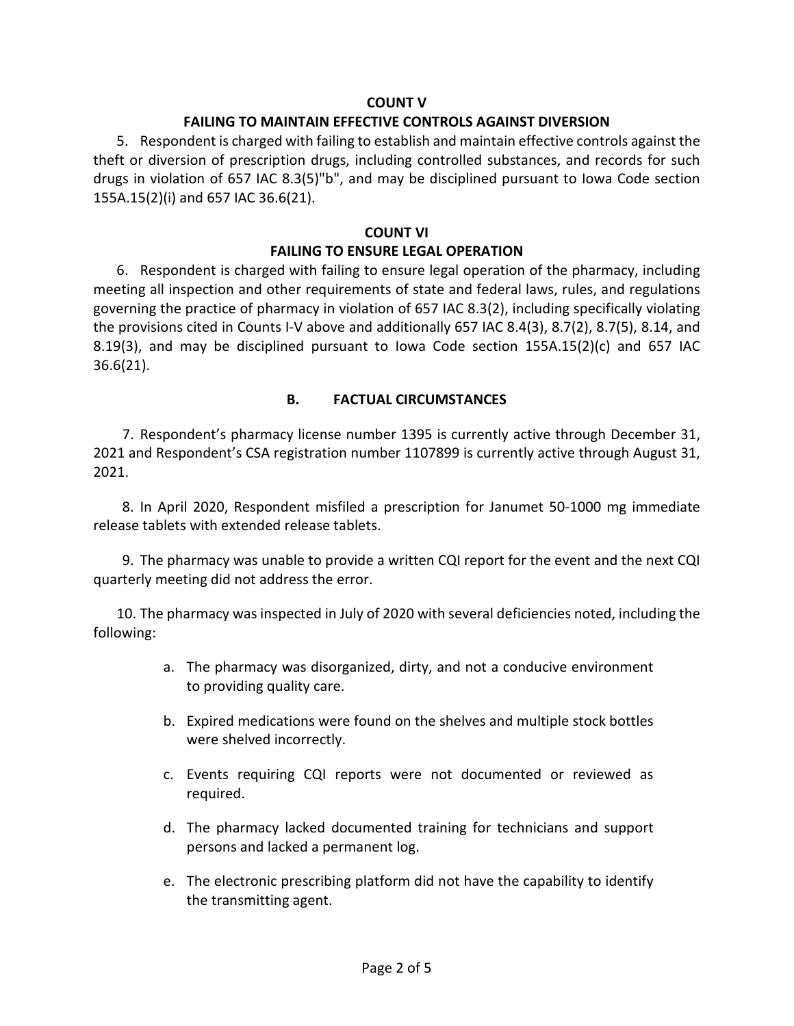## **COUNT V**

#### **FAILING TO MAINTAIN EFFECTIVE CONTROLS AGAINST DIVERSION**

5. Respondent is charged with failing to establish and maintain effective controls against the theft or diversion of prescription drugs, including controlled substances, and records for such drugs in violation of 657 IAC 8.3(5)"b", and may be disciplined pursuant to Iowa Code section 155A.15(2)(i) and 657 IAC 36.6(21).

#### **COUNT VI**

## **FAILING TO ENSURE LEGAL OPERATION**

6. Respondent is charged with failing to ensure legal operation of the pharmacy, including meeting all inspection and other requirements of state and federal laws, rules, and regulations governing the practice of pharmacy in violation of 657 IAC 8.3(2), including specifically violating the provisions cited in Counts I-V above and additionally 657 IAC 8.4(3), 8.7(2), 8.7(5), 8.14, and 8.19(3), and may be disciplined pursuant to Iowa Code section  $155A.15(2)(c)$  and 657 IAC 36.6(21).

## **B. FACTUAL CIRCUMSTANCES**

7. Respondent's pharmacy license number 1395 is currently active through December 31, 2021 and Respondent's CSA registration number 1107899 is currently active through August 31, 2021.

8. In April 2020, Respondent misfiled a prescription for Janumet 50-1000 mg immediate release tablets with extended release tablets.

9. The pharmacy was unable to provide a written CQI report for the event and the next CQI quarterly meeting did not address the error.

10. The pharmacy was inspected in July of 2020 with several deficiencies noted, including the following:

- a. The pharmacy was disorganized, dirty, and not a conducive environment to providing quality care.
- b. Expired medications were found on the shelves and multiple stock bottles were shelved incorrectly.
- c. Events requiring CQI reports were not documented or reviewed as required.
- d. The pharmacy lacked documented training for technicians and support persons and lacked a permanent log.
- e. The electronic prescribing platform did not have the capability to identify the transmitting agent.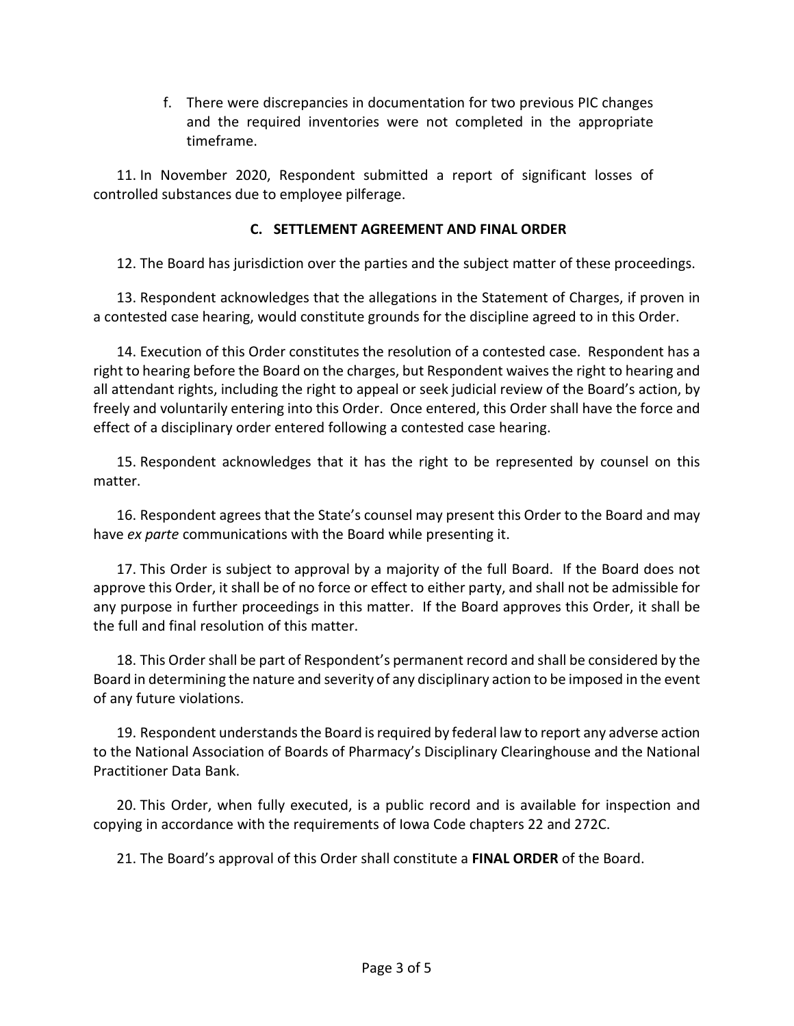f. There were discrepancies in documentation for two previous PIC changes and the required inventories were not completed in the appropriate timeframe.

11. In November 2020, Respondent submitted a report of significant losses of controlled substances due to employee pilferage.

# **C. SETTLEMENT AGREEMENT AND FINAL ORDER**

12. The Board has jurisdiction over the parties and the subject matter of these proceedings.

13. Respondent acknowledges that the allegations in the Statement of Charges, if proven in a contested case hearing, would constitute grounds for the discipline agreed to in this Order.

14. Execution of this Order constitutes the resolution of a contested case. Respondent has a right to hearing before the Board on the charges, but Respondent waives the right to hearing and all attendant rights, including the right to appeal or seek judicial review of the Board's action, by freely and voluntarily entering into this Order. Once entered, this Order shall have the force and effect of a disciplinary order entered following a contested case hearing.

15. Respondent acknowledges that it has the right to be represented by counsel on this matter.

16. Respondent agrees that the State's counsel may present this Order to the Board and may have *ex parte* communications with the Board while presenting it.

17. This Order is subject to approval by a majority of the full Board. If the Board does not approve this Order, it shall be of no force or effect to either party, and shall not be admissible for any purpose in further proceedings in this matter. If the Board approves this Order, it shall be the full and final resolution of this matter.

18. This Order shall be part of Respondent's permanent record and shall be considered by the Board in determining the nature and severity of any disciplinary action to be imposed in the event of any future violations.

19. Respondent understands the Board is required by federal law to report any adverse action to the National Association of Boards of Pharmacy's Disciplinary Clearinghouse and the National Practitioner Data Bank.

20. This Order, when fully executed, is a public record and is available for inspection and copying in accordance with the requirements of Iowa Code chapters 22 and 272C.

21. The Board's approval of this Order shall constitute a **FINAL ORDER** of the Board.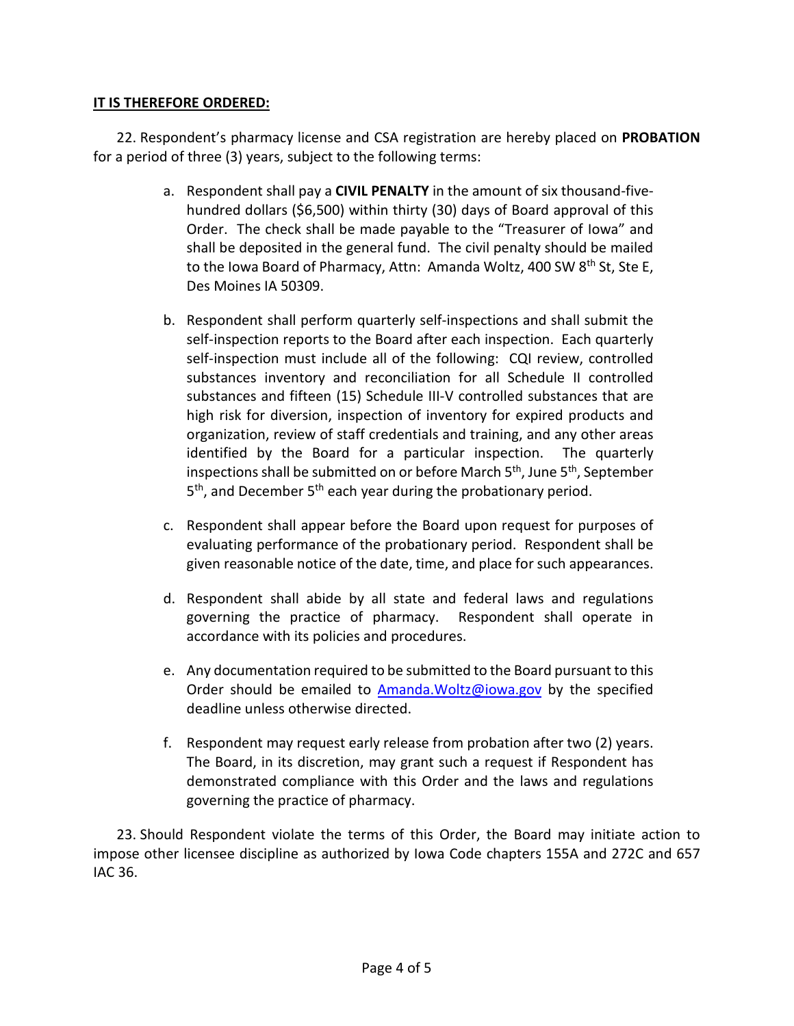# **IT IS THEREFORE ORDERED:**

22. Respondent's pharmacy license and CSA registration are hereby placed on **PROBATION** for a period of three (3) years, subject to the following terms:

- a. Respondent shall pay a **CIVIL PENALTY** in the amount of six thousand-fivehundred dollars (\$6,500) within thirty (30) days of Board approval of this Order. The check shall be made payable to the "Treasurer of Iowa" and shall be deposited in the general fund. The civil penalty should be mailed to the Iowa Board of Pharmacy, Attn: Amanda Woltz, 400 SW 8<sup>th</sup> St, Ste E, Des Moines IA 50309.
- b. Respondent shall perform quarterly self-inspections and shall submit the self-inspection reports to the Board after each inspection. Each quarterly self-inspection must include all of the following: CQI review, controlled substances inventory and reconciliation for all Schedule II controlled substances and fifteen (15) Schedule III-V controlled substances that are high risk for diversion, inspection of inventory for expired products and organization, review of staff credentials and training, and any other areas identified by the Board for a particular inspection. The quarterly inspections shall be submitted on or before March 5<sup>th</sup>, June 5<sup>th</sup>, September 5<sup>th</sup>, and December 5<sup>th</sup> each year during the probationary period.
- c. Respondent shall appear before the Board upon request for purposes of evaluating performance of the probationary period. Respondent shall be given reasonable notice of the date, time, and place for such appearances.
- d. Respondent shall abide by all state and federal laws and regulations governing the practice of pharmacy. Respondent shall operate in accordance with its policies and procedures.
- e. Any documentation required to be submitted to the Board pursuant to this Order should be emailed to  $A$ manda. Woltz@iowa.gov by the specified deadline unless otherwise directed.
- f. Respondent may request early release from probation after two (2) years. The Board, in its discretion, may grant such a request if Respondent has demonstrated compliance with this Order and the laws and regulations governing the practice of pharmacy.

23. Should Respondent violate the terms of this Order, the Board may initiate action to impose other licensee discipline as authorized by Iowa Code chapters 155A and 272C and 657 IAC 36.